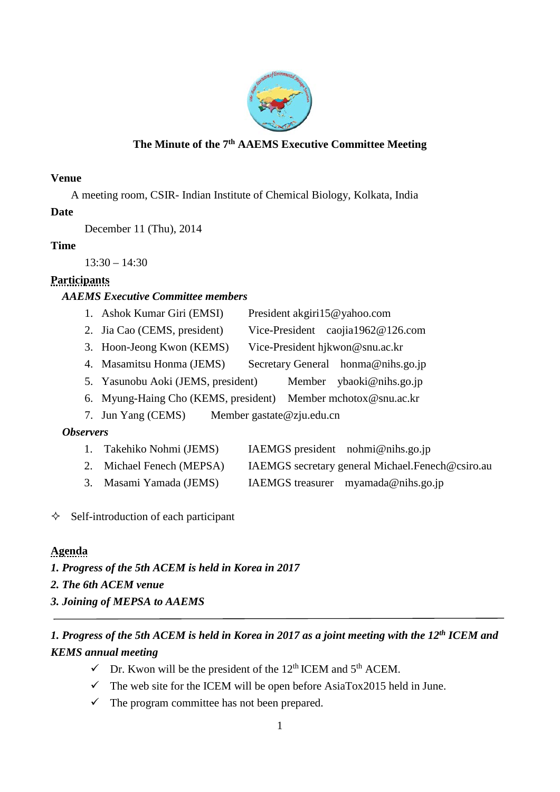

#### **The Minute of the 7th AAEMS Executive Committee Meeting**

#### **Venue**

A meeting room, CSIR- Indian Institute of Chemical Biology, Kolkata, India

## **Date**

December 11 (Thu), 2014

#### **Time**

 $13:30 - 14:30$ 

# **Participants**

## *AAEMS Executive Committee members*

- 1. Ashok Kumar Giri (EMSI) President akgiri15@yahoo.com
- 2. Jia Cao (CEMS, president) Vice-President caojia1962@126.com
- 3. Hoon-Jeong Kwon (KEMS) Vice-President hjkwon@snu.ac.kr
- 4. Masamitsu Honma (JEMS) Secretary General honma@nihs.go.jp
- 5. Yasunobu Aoki (JEMS, president) Member ybaoki@nihs.go.jp
- 6. Myung-Haing Cho (KEMS, president) Member mchotox@snu.ac.kr
- 7. Jun Yang (CEMS) Member gastate@zju.edu.cn

## *Observers*

- 1. Takehiko Nohmi (JEMS) IAEMGS president nohmi@nihs.go.jp
- 2. Michael Fenech (MEPSA) IAEMGS secretary general Michael.Fenech@csiro.au
- 3. Masami Yamada (JEMS) IAEMGS treasurer myamada@nihs.go.jp
- $\Diamond$  Self-introduction of each participant

## **Agenda**

- *1. Progress of the 5th ACEM is held in Korea in 2017*
- *2. The 6th ACEM venue*
- *3. Joining of MEPSA to AAEMS*

# *1. Progress of the 5th ACEM is held in Korea in 2017 as a joint meeting with the 12th ICEM and KEMS annual meeting*

- $\checkmark$  Dr. Kwon will be the president of the 12<sup>th</sup> ICEM and 5<sup>th</sup> ACEM.
- $\checkmark$  The web site for the ICEM will be open before AsiaTox2015 held in June.
- $\checkmark$  The program committee has not been prepared.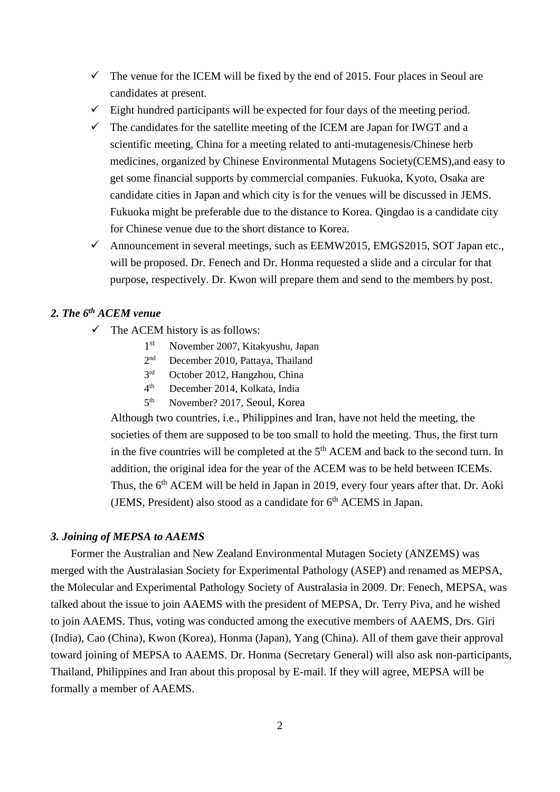- $\checkmark$  The venue for the ICEM will be fixed by the end of 2015. Four places in Seoul are candidates at present.
- $\checkmark$  Eight hundred participants will be expected for four days of the meeting period.
- $\checkmark$  The candidates for the satellite meeting of the ICEM are Japan for IWGT and a scientific meeting, China for a meeting related to anti-mutagenesis/Chinese herb medicines, organized by Chinese Environmental Mutagens Society(CEMS),and easy to get some financial supports by commercial companies. Fukuoka, Kyoto, Osaka are candidate cities in Japan and which city is for the venues will be discussed in JEMS. Fukuoka might be preferable due to the distance to Korea. Qingdao is a candidate city for Chinese venue due to the short distance to Korea.
- $\checkmark$  Announcement in several meetings, such as EEMW2015, EMGS2015, SOT Japan etc., will be proposed. Dr. Fenech and Dr. Honma requested a slide and a circular for that purpose, respectively. Dr. Kwon will prepare them and send to the members by post.

#### *2. The 6th ACEM venue*

- $\checkmark$  The ACEM history is as follows:
	- 1st November 2007, Kitakyushu, Japan
	- 2nd December 2010, Pattaya, Thailand
	- 3rd October 2012, Hangzhou, China
	- 4th December 2014, Kolkata, India
	- 5th November? 2017, Seoul, Korea

Although two countries, i.e., Philippines and Iran, have not held the meeting, the societies of them are supposed to be too small to hold the meeting. Thus, the first turn in the five countries will be completed at the  $5<sup>th</sup>$  ACEM and back to the second turn. In addition, the original idea for the year of the ACEM was to be held between ICEMs. Thus, the 6<sup>th</sup> ACEM will be held in Japan in 2019, every four years after that. Dr. Aoki (JEMS, President) also stood as a candidate for  $6<sup>th</sup>$  ACEMS in Japan.

#### *3. Joining of MEPSA to AAEMS*

Former the Australian and New Zealand Environmental Mutagen Society (ANZEMS) was merged with the Australasian Society for Experimental Pathology (ASEP) and renamed as MEPSA, the Molecular and Experimental Pathology Society of Australasia in 2009. Dr. Fenech, MEPSA, was talked about the issue to join AAEMS with the president of MEPSA, Dr. Terry Piva, and he wished to join AAEMS. Thus, voting was conducted among the executive members of AAEMS, Drs. Giri (India), Cao (China), Kwon (Korea), Honma (Japan), Yang (China). All of them gave their approval toward joining of MEPSA to AAEMS. Dr. Honma (Secretary General) will also ask non-participants, Thailand, Philippines and Iran about this proposal by E-mail. If they will agree, MEPSA will be formally a member of AAEMS.